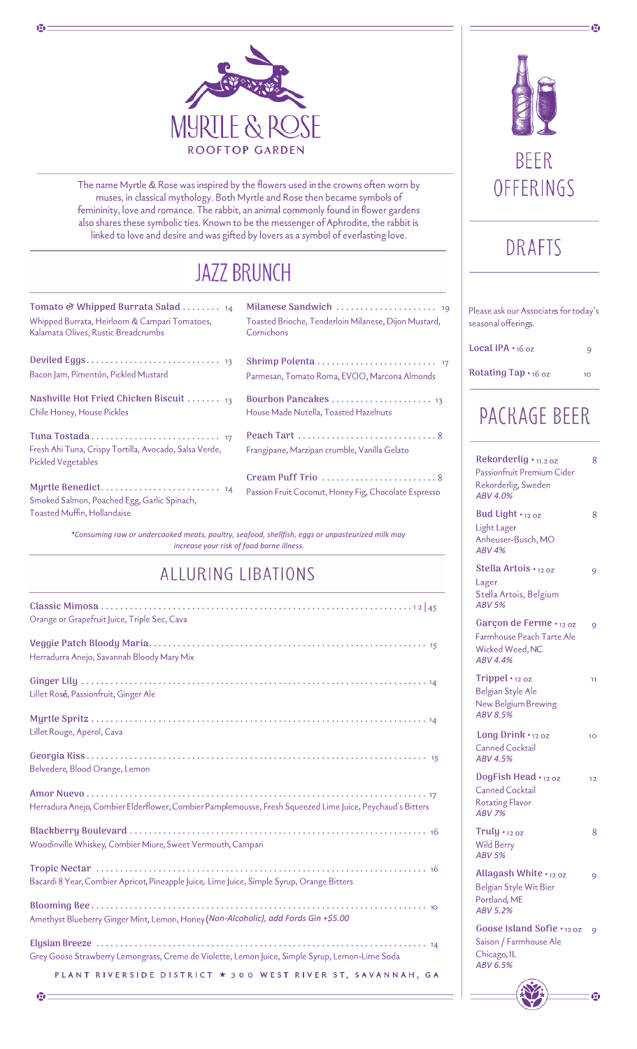

The name Myrtle & Rose was inspired by the flowers used in the crowns often worn by muses, in classical mythology. Both Myrtle and Rose then became symbols of femininity, love and romance. The rabbit, an animal commonly found in flower gardens also shares these symbolic ties. Known to be the messenger of Aphrodite, the rabbit is linked to love and desire and was gifted by lovers as a symbol of everlasting love.

# **JAZZ BRUNCH**

| Tomato & Whipped Burrata Salad $_{14}$<br>Whipped Burrata, Heirloom & Campari Tomatoes,<br>Kalamata Olives, Rustic Breadcrumbs | Ï<br>( |
|--------------------------------------------------------------------------------------------------------------------------------|--------|
| Bacon Jam, Pimentón, Pickled Mustard                                                                                           | Į<br>ŀ |
| Nashville Hot Fried Chicken Biscuit  13<br>Chile Honey, House Pickles                                                          | I<br>ŀ |
| Fresh Ahi Tuna, Crispy Tortilla, Avocado, Salsa Verde,<br><b>Pickled Vegetables</b>                                            | I<br>F |
| Smoked Salmon, Poached Egg, Garlic Spinach,<br>Toasted Muffin, Hollandaise                                                     | (      |

Ф

**Milanese Sandwich .....................**  $19$ Foasted Brioche, Tenderloin Milanese, Dijon Mustard, Cornichons **Shrimp Polenta .........................** .<br>Parmesan, Tomato Roma, EVOO, Marcona Almonds

**Bourbon Pancakes .....................** House Made Nutella, Toasted Hazelnuts

**Peach Tart .............................** Frangipane, Marzipan crumble, Vanilla Gelato

**Cream Puff Trio ........................** Passion Fruit Coconut, Honey Fig, Chocolate Espresso

*\*Consuming raw or undercooked meats, poultry, seafood, shellfish, eggs or unpasteurized milk may increase your risk of food borne illness.*

## **ALLURING LIBATIONS**

| Orange or Grapefruit Juice, Triple Sec, Cava                                                                                                                                       |
|------------------------------------------------------------------------------------------------------------------------------------------------------------------------------------|
| Herradurra Anejo, Savannah Bloody Mary Mix                                                                                                                                         |
| Lillet Rosé, Passionfruit, Ginger Ale                                                                                                                                              |
| Lillet Rouge, Aperol, Cava                                                                                                                                                         |
| Belvedere, Blood Orange, Lemon                                                                                                                                                     |
| Herradura Anejo, Combier Elderflower, Combier Pamplemousse, Fresh Squeezed Lime Juice, Peychaud's Bitters                                                                          |
| Woodinville Whiskey, Combier Miure, Sweet Vermouth, Campari                                                                                                                        |
| Bacardi 8 Year, Combier Apricot, Pineapple Juice, Lime Juice, Simple Syrup, Orange Bitters                                                                                         |
| Amethyst Blueberry Ginger Mint, Lemon, Honey (Non-Alcoholic), add Fords Gin +\$5.00                                                                                                |
| Grey Goose Strawberry Lemongrass, Creme de Violette, Lemon Juice, Simple Syrup, Lemon-Lime Soda                                                                                    |
| PLANT RIVERSIDE DISTRICT * 300 WEST RIVER ST, SAVANNAH, GA<br><u> 1950 - Jan James James James James James James James James James James James James James James James James J</u> |



# DRAFTS

| Please ask our Associates for today's<br>seasonal offerings.                             |              |  |  |
|------------------------------------------------------------------------------------------|--------------|--|--|
| <b>Local IPA</b> $\cdot$ 16 oz                                                           | 9            |  |  |
| Rotating Tap . 16 oz                                                                     | 10           |  |  |
|                                                                                          | PACRAGE BEER |  |  |
| Rekorderlig • 11.2 oz<br>Passionfruit Premium Cider<br>Rekorderlig, Sweden<br>ABV 4.0%   | 8            |  |  |
| Bud Light $\cdot$ 12 oz<br>Light Lager<br>Anheuser-Busch, MO<br><b>ABV 4%</b>            | 8            |  |  |
| Stella Artois · 12 oz<br>Lager<br>Stella Artois, Belgium<br><b>ABV 5%</b>                | 9            |  |  |
| Garçon de Ferme · 12 oz<br>Farmhouse Peach Tarte Ale<br>Wicked Weed, NC<br>ABV 4.4%      | 9            |  |  |
| $Trippel \cdot 12 oz$<br>Belgian Style Ale<br>New Belgium Brewing<br><b>ABV 8.5%</b>     | 11           |  |  |
| Long Drink $\cdot$ 12 oz<br>Canned Cocktail<br>ABV 4.5%                                  | 10           |  |  |
| DogFish Head $\cdot$ 12 oz<br>Canned Cocktail<br><b>Rotating Flavor</b><br><b>ABV 7%</b> | 12           |  |  |
| $Truly.$ $_{12.02}$<br><b>Wild Berry</b><br><b>ABV 5%</b>                                | 8            |  |  |
| Allagash White $\cdot$ 12 oz<br>Belgian Style Wit Bier<br>Portland, ME<br>ABV 5.2%       | 9            |  |  |
| Goose Island Sofie · 12 oz<br>Saison / Farmhouse Ale<br>Chicago, IL<br>ABV 6.5%          | 9            |  |  |

ø